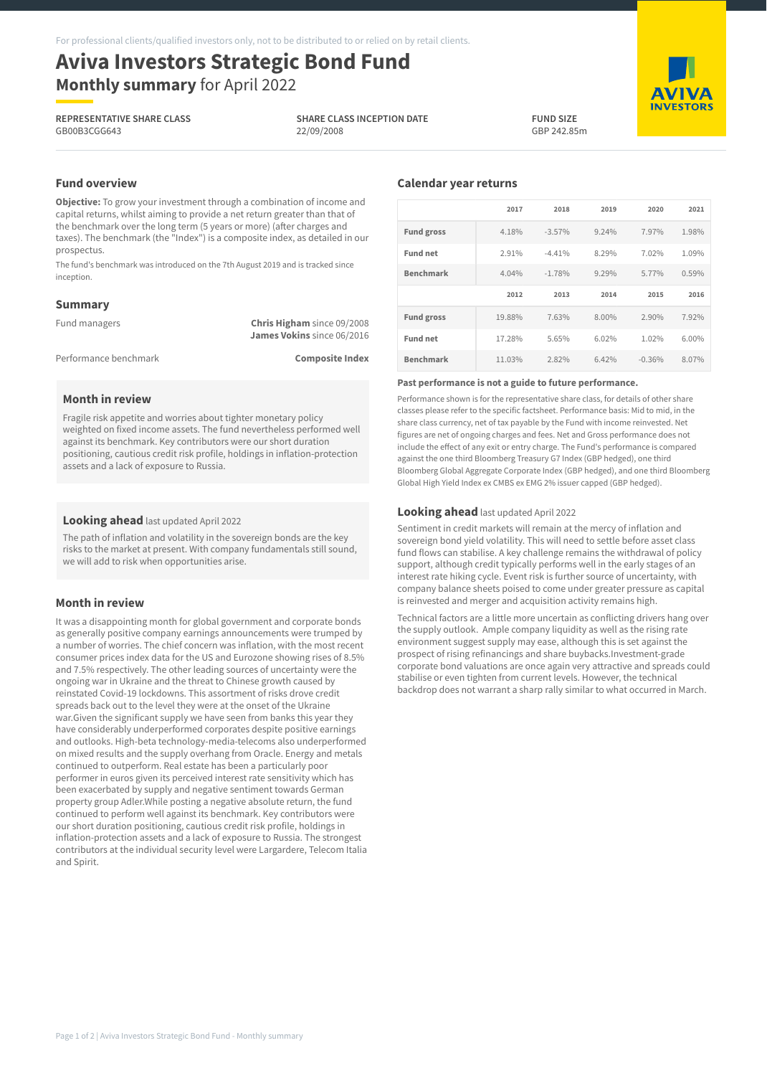# **Aviva Investors Strategic Bond Fund Monthly summary** for April 2022

**REPRESENTATIVE SHARE CLASS** GB00B3CGG643

**SHARE CLASS INCEPTION DATE** 22/09/2008



**AVIVA INVESTORS** 

# **Fund overview**

**Objective:** To grow your investment through a combination of income and capital returns, whilst aiming to provide a net return greater than that of the benchmark over the long term (5 years or more) (after charges and taxes). The benchmark (the "Index") is a composite index, as detailed in our prospectus.

The fund's benchmark was introduced on the 7th August 2019 and is tracked since inception.

## **Summary**

| Fund managers         | <b>Chris Higham</b> since 09/2008 |
|-----------------------|-----------------------------------|
|                       | James Vokins since 06/2016        |
| Performance benchmark | <b>Composite Index</b>            |

## **Month in review**

Fragile risk appetite and worries about tighter monetary policy weighted on fixed income assets. The fund nevertheless performed well against its benchmark. Key contributors were our short duration positioning, cautious credit risk profile, holdings in inflation-protection assets and a lack of exposure to Russia.

#### **Looking ahead** last updated April 2022

The path of inflation and volatility in the sovereign bonds are the key risks to the market at present. With company fundamentals still sound, we will add to risk when opportunities arise.

#### **Month in review**

It was a disappointing month for global government and corporate bonds as generally positive company earnings announcements were trumped by a number of worries. The chief concern was inflation, with the most recent consumer prices index data for the US and Eurozone showing rises of 8.5% and 7.5% respectively. The other leading sources of uncertainty were the ongoing war in Ukraine and the threat to Chinese growth caused by reinstated Covid-19 lockdowns. This assortment of risks drove credit spreads back out to the level they were at the onset of the Ukraine war.Given the significant supply we have seen from banks this year they have considerably underperformed corporates despite positive earnings and outlooks. High-beta technology-media-telecoms also underperformed on mixed results and the supply overhang from Oracle. Energy and metals continued to outperform. Real estate has been a particularly poor performer in euros given its perceived interest rate sensitivity which has been exacerbated by supply and negative sentiment towards German property group Adler.While posting a negative absolute return, the fund continued to perform well against its benchmark. Key contributors were our short duration positioning, cautious credit risk profile, holdings in inflation-protection assets and a lack of exposure to Russia. The strongest contributors at the individual security level were Largardere, Telecom Italia and Spirit.

## **Calendar year returns**

|                   | 2017   | 2018     | 2019  | 2020  | 2021  |
|-------------------|--------|----------|-------|-------|-------|
| <b>Fund gross</b> | 4.18%  | $-3.57%$ | 9.24% | 7.97% | 1.98% |
| <b>Fund net</b>   | 2.91%  | $-4.41%$ | 8.29% | 7.02% | 1.09% |
| <b>Benchmark</b>  | 4.04%  | $-1.78%$ | 9.29% | 5.77% | 0.59% |
|                   | 2012   | 2013     | 2014  | 2015  | 2016  |
|                   |        |          |       |       |       |
| <b>Fund gross</b> | 19.88% | 7.63%    | 8.00% | 2.90% | 7.92% |
| <b>Fund net</b>   | 17.28% | 5.65%    | 6.02% | 1.02% | 6.00% |

#### **Past performance is not a guide to future performance.**

Performance shown is for the representative share class, for details of other share classes please refer to the specific factsheet. Performance basis: Mid to mid, in the share class currency, net of tax payable by the Fund with income reinvested. Net figures are net of ongoing charges and fees. Net and Gross performance does not include the effect of any exit or entry charge. The Fund's performance is compared against the one third Bloomberg Treasury G7 Index (GBP hedged), one third Bloomberg Global Aggregate Corporate Index (GBP hedged), and one third Bloomberg Global High Yield Index ex CMBS ex EMG 2% issuer capped (GBP hedged).

#### **Looking ahead** last updated April 2022

Sentiment in credit markets will remain at the mercy of inflation and sovereign bond yield volatility. This will need to settle before asset class fund flows can stabilise. A key challenge remains the withdrawal of policy support, although credit typically performs well in the early stages of an interest rate hiking cycle. Event risk is further source of uncertainty, with company balance sheets poised to come under greater pressure as capital is reinvested and merger and acquisition activity remains high.

Technical factors are a little more uncertain as conflicting drivers hang over the supply outlook. Ample company liquidity as well as the rising rate environment suggest supply may ease, although this is set against the prospect of rising refinancings and share buybacks.Investment-grade corporate bond valuations are once again very attractive and spreads could stabilise or even tighten from current levels. However, the technical backdrop does not warrant a sharp rally similar to what occurred in March.